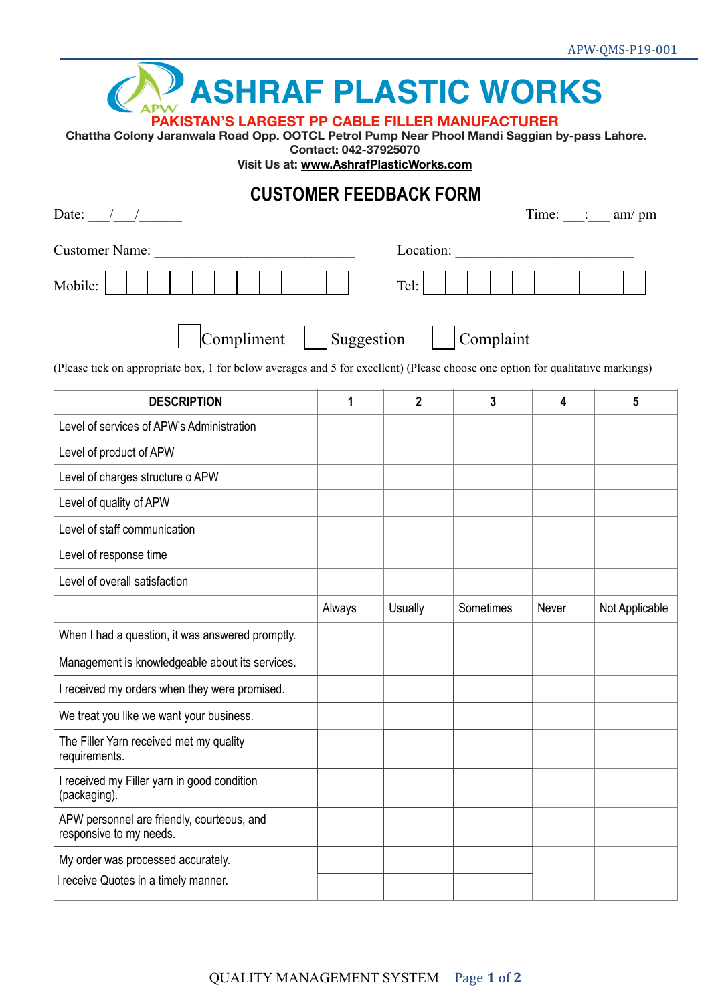

## **PAKISTAN'S LARGEST PP CABLE FILLER MANUFACTURER**

 **Chattha Colony Jaranwala Road Opp. OOTCL Petrol Pump Near Phool Mandi Saggian by-pass Lahore.** 

**Contact: 042-37925070** 

**Visit Us at: [www.AshrafPlasticWorks.com](http://www.AshrafPlasticWorks.com)**

## **CUSTOMER FEEDBACK FORM**

| Date: $\frac{1}{\sqrt{2\pi}}$                                                                                                  |            |                |           |       | Time: $\frac{1}{\sqrt{2}}$ am/pm |
|--------------------------------------------------------------------------------------------------------------------------------|------------|----------------|-----------|-------|----------------------------------|
| <b>Customer Name:</b>                                                                                                          | Location:  |                |           |       |                                  |
| Mobile:                                                                                                                        |            | Tel:           |           |       |                                  |
| Compliment                                                                                                                     | Suggestion |                | Complaint |       |                                  |
| (Please tick on appropriate box, 1 for below averages and 5 for excellent) (Please choose one option for qualitative markings) |            |                |           |       |                                  |
| <b>DESCRIPTION</b>                                                                                                             | 1          | $\mathbf{2}$   | 3         | 4     | 5                                |
| Level of services of APW's Administration                                                                                      |            |                |           |       |                                  |
| Level of product of APW                                                                                                        |            |                |           |       |                                  |
| Level of charges structure o APW                                                                                               |            |                |           |       |                                  |
| Level of quality of APW                                                                                                        |            |                |           |       |                                  |
| Level of staff communication                                                                                                   |            |                |           |       |                                  |
| Level of response time                                                                                                         |            |                |           |       |                                  |
| Level of overall satisfaction                                                                                                  |            |                |           |       |                                  |
|                                                                                                                                | Always     | <b>Usually</b> | Sometimes | Never | Not Applicable                   |
| When I had a question, it was answered promptly.                                                                               |            |                |           |       |                                  |
| Management is knowledgeable about its services.                                                                                |            |                |           |       |                                  |
| I received my orders when they were promised.                                                                                  |            |                |           |       |                                  |
| We treat you like we want your business.                                                                                       |            |                |           |       |                                  |
| The Filler Yarn received met my quality<br>requirements.                                                                       |            |                |           |       |                                  |
| I received my Filler yarn in good condition<br>(packaging).                                                                    |            |                |           |       |                                  |
| APW personnel are friendly, courteous, and<br>responsive to my needs.                                                          |            |                |           |       |                                  |
| My order was processed accurately.                                                                                             |            |                |           |       |                                  |
| I receive Quotes in a timely manner.                                                                                           |            |                |           |       |                                  |